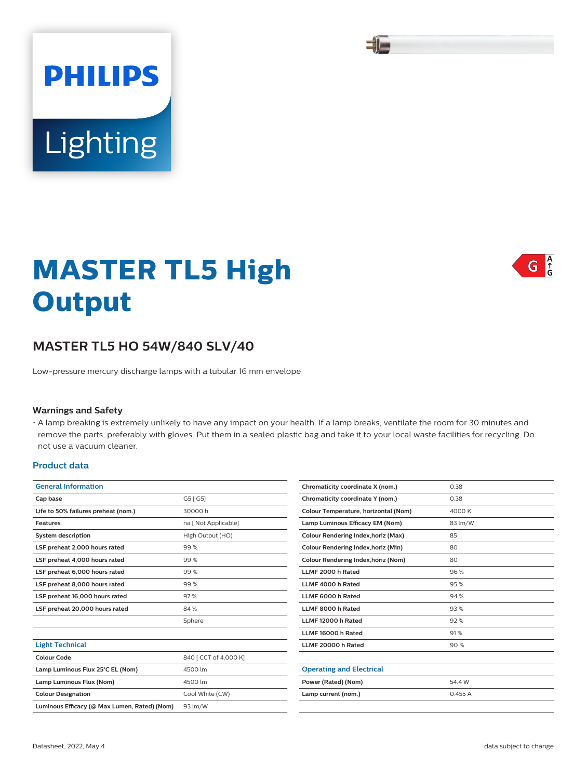# **MASTER TL5 High Output**

# **MASTER TL5 HO 54W/840 SLV/40**

Low-pressure mercury discharge lamps with a tubular 16 mm envelope

#### **Warnings and Safety**

• A lamp breaking is extremely unlikely to have any impact on your health. If a lamp breaks, ventilate the room for 30 minutes and remove the parts, preferably with gloves. Put them in a sealed plastic bag and take it to your local waste facilities for recycling. Do not use a vacuum cleaner.

#### **Product data**

| <b>General Information</b>                   |                       |  |  |
|----------------------------------------------|-----------------------|--|--|
| Cap base                                     | G5 [ G5]              |  |  |
| Life to 50% failures preheat (nom.)          | 30000 h               |  |  |
| Features                                     | na [ Not Applicable]  |  |  |
| <b>System description</b>                    | High Output (HO)      |  |  |
| 99%<br>LSF preheat 2,000 hours rated         |                       |  |  |
| LSF preheat 4,000 hours rated                | 99%                   |  |  |
| LSF preheat 6,000 hours rated                | 99%                   |  |  |
| LSF preheat 8,000 hours rated                | 99%                   |  |  |
| LSF preheat 16,000 hours rated               | 97%                   |  |  |
| LSF preheat 20,000 hours rated               | 84%                   |  |  |
|                                              | Sphere                |  |  |
|                                              |                       |  |  |
| <b>Light Technical</b>                       |                       |  |  |
| Colour Code                                  | 840   CCT of 4,000 K] |  |  |
| Lamp Luminous Flux 25°C EL (Nom)             | 4500 lm               |  |  |
| Lamp Luminous Flux (Nom)                     | 4500 lm               |  |  |
| <b>Colour Designation</b>                    | Cool White (CW)       |  |  |
| Luminous Efficacy (@ Max Lumen, Rated) (Nom) | 93 lm/W               |  |  |

| Chromaticity coordinate X (nom.)           | 0.38    |  |
|--------------------------------------------|---------|--|
| Chromaticity coordinate Y (nom.)           | 0.38    |  |
| Colour Temperature, horizontal (Nom)       | 4000 K  |  |
| Lamp Luminous Efficacy EM (Nom)            | 83 lm/W |  |
| Colour Rendering Index, horiz (Max)        | 85      |  |
| Colour Rendering Index, horiz (Min)        | 80      |  |
| <b>Colour Rendering Index, horiz (Nom)</b> | 80      |  |
| LLMF 2000 h Rated                          | 96%     |  |
| LLMF 4000 h Rated                          | 95%     |  |
| LLMF 6000 h Rated                          | 94 %    |  |
| LLMF 8000 h Rated                          | 93%     |  |
| LLMF 12000 h Rated                         | 92%     |  |
| LLMF 16000 h Rated                         | 91%     |  |
| LLMF 20000 h Rated                         | 90%     |  |
|                                            |         |  |
| <b>Operating and Electrical</b>            |         |  |
| Power (Rated) (Nom)                        | 54.4 W  |  |
| Lamp current (nom.)                        | 0.455A  |  |
|                                            |         |  |







Lighting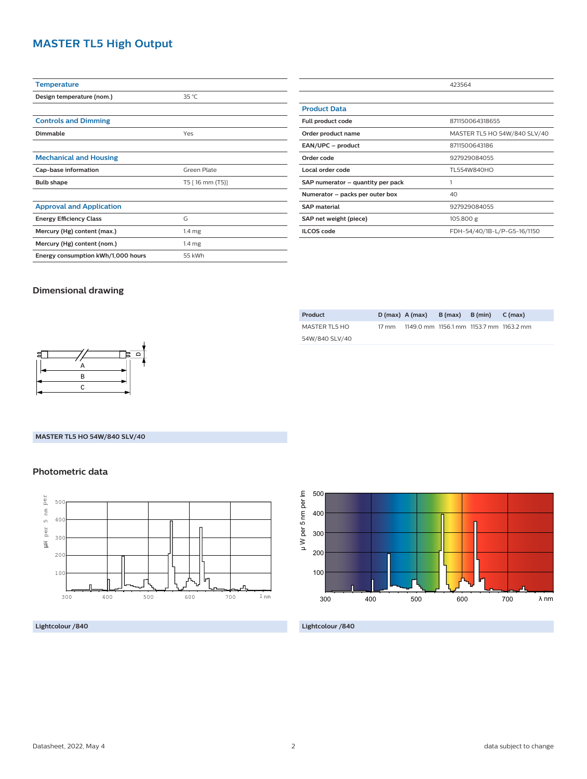# **MASTER TL5 High Output**

| <b>Temperature</b>                 |                    |  |  |
|------------------------------------|--------------------|--|--|
| Design temperature (nom.)          | 35 °C              |  |  |
|                                    |                    |  |  |
| <b>Controls and Dimming</b>        |                    |  |  |
| Dimmable                           | Yes                |  |  |
|                                    |                    |  |  |
| <b>Mechanical and Housing</b>      |                    |  |  |
| Cap-base information               | <b>Green Plate</b> |  |  |
| <b>Bulb shape</b>                  | T5 [16 mm (T5)]    |  |  |
|                                    |                    |  |  |
| <b>Approval and Application</b>    |                    |  |  |
| <b>Energy Efficiency Class</b>     | G                  |  |  |
| Mercury (Hg) content (max.)        | 1.4 <sub>mg</sub>  |  |  |
| Mercury (Hg) content (nom.)        | 1.4 <sub>mg</sub>  |  |  |
| Energy consumption kWh/1,000 hours | 55 kWh             |  |  |

|                                      | 423564                       |  |  |
|--------------------------------------|------------------------------|--|--|
|                                      |                              |  |  |
| <b>Product Data</b>                  |                              |  |  |
| 871150064318655<br>Full product code |                              |  |  |
| Order product name                   | MASTER TL5 HO 54W/840 SLV/40 |  |  |
| EAN/UPC - product                    | 8711500643186                |  |  |
| Order code                           | 927929084055                 |  |  |
| Local order code                     | TL554W840HO                  |  |  |
| SAP numerator - quantity per pack    | 1                            |  |  |
| Numerator – packs per outer box      | 40                           |  |  |
| <b>SAP material</b>                  | 927929084055                 |  |  |
| SAP net weight (piece)               | 105.800 g                    |  |  |
| <b>ILCOS</b> code                    | FDH-54/40/1B-L/P-G5-16/1150  |  |  |

### **Dimensional drawing**

| 目 | А         |  |
|---|-----------|--|
|   | B         |  |
|   | $\subset$ |  |
|   |           |  |

#### **MASTER TL5 HO 54W/840 SLV/40**

#### **Photometric data**



#### **Lightcolour /840**

| Product        |                 | $D(max)$ A (max)                        | B (max) B (min) | $C \text{ (max)}$ |
|----------------|-----------------|-----------------------------------------|-----------------|-------------------|
| MASTER TL5 HO  | $17 \text{ mm}$ | 1149.0 mm 1156.1 mm 1153.7 mm 1163.2 mm |                 |                   |
| 54W/840 SLV/40 |                 |                                         |                 |                   |



#### **Lightcolour /840**